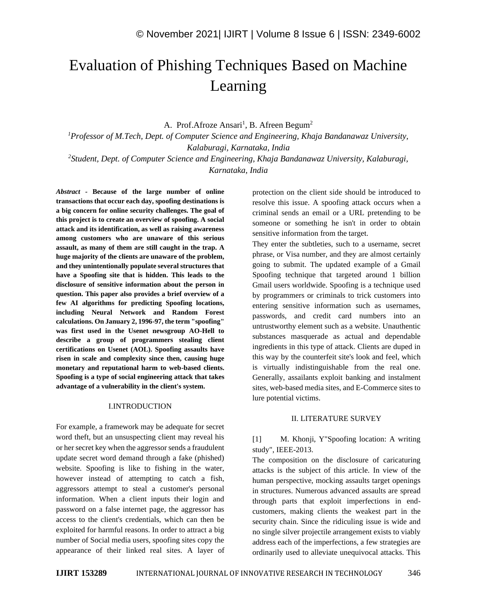# Evaluation of Phishing Techniques Based on Machine Learning

A. Prof.Afroze Ansari<sup>1</sup>, B. Afreen Begum<sup>2</sup>

*<sup>1</sup>Professor of M.Tech, Dept. of Computer Science and Engineering, Khaja Bandanawaz University, Kalaburagi, Karnataka, India 2 Student, Dept. of Computer Science and Engineering, Khaja Bandanawaz University, Kalaburagi,* 

*Karnataka, India*

*Abstract -* **Because of the large number of online transactions that occur each day, spoofing destinations is a big concern for online security challenges. The goal of this project is to create an overview of spoofing. A social attack and its identification, as well as raising awareness among customers who are unaware of this serious assault, as many of them are still caught in the trap. A huge majority of the clients are unaware of the problem, and they unintentionally populate several structures that have a Spoofing site that is hidden. This leads to the disclosure of sensitive information about the person in question. This paper also provides a brief overview of a few AI algorithms for predicting Spoofing locations, including Neural Network and Random Forest calculations. On January 2, 1996-97, the term "spoofing" was first used in the Usenet newsgroup AO-Hell to describe a group of programmers stealing client certifications on Usenet (AOL). Spoofing assaults have risen in scale and complexity since then, causing huge monetary and reputational harm to web-based clients. Spoofing is a type of social engineering attack that takes advantage of a vulnerability in the client's system.**

#### I.INTRODUCTION

For example, a framework may be adequate for secret word theft, but an unsuspecting client may reveal his or her secret key when the aggressor sends a fraudulent update secret word demand through a fake (phished) website. Spoofing is like to fishing in the water, however instead of attempting to catch a fish, aggressors attempt to steal a customer's personal information. When a client inputs their login and password on a false internet page, the aggressor has access to the client's credentials, which can then be exploited for harmful reasons. In order to attract a big number of Social media users, spoofing sites copy the appearance of their linked real sites. A layer of protection on the client side should be introduced to resolve this issue. A spoofing attack occurs when a criminal sends an email or a URL pretending to be someone or something he isn't in order to obtain sensitive information from the target.

They enter the subtleties, such to a username, secret phrase, or Visa number, and they are almost certainly going to submit. The updated example of a Gmail Spoofing technique that targeted around 1 billion Gmail users worldwide. Spoofing is a technique used by programmers or criminals to trick customers into entering sensitive information such as usernames, passwords, and credit card numbers into an untrustworthy element such as a website. Unauthentic substances masquerade as actual and dependable ingredients in this type of attack. Clients are duped in this way by the counterfeit site's look and feel, which is virtually indistinguishable from the real one. Generally, assailants exploit banking and instalment sites, web-based media sites, and E-Commerce sites to lure potential victims.

#### II. LITERATURE SURVEY

# [1] M. Khonji, Y"Spoofing location: A writing study", IEEE-2013.

The composition on the disclosure of caricaturing attacks is the subject of this article. In view of the human perspective, mocking assaults target openings in structures. Numerous advanced assaults are spread through parts that exploit imperfections in endcustomers, making clients the weakest part in the security chain. Since the ridiculing issue is wide and no single silver projectile arrangement exists to viably address each of the imperfections, a few strategies are ordinarily used to alleviate unequivocal attacks. This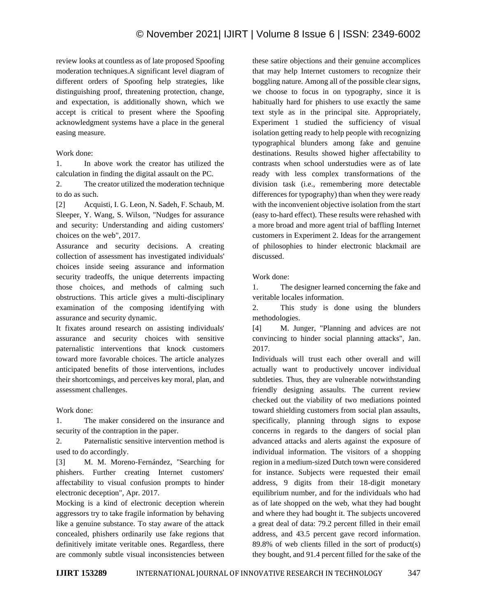review looks at countless as of late proposed Spoofing moderation techniques.A significant level diagram of different orders of Spoofing help strategies, like distinguishing proof, threatening protection, change, and expectation, is additionally shown, which we accept is critical to present where the Spoofing acknowledgment systems have a place in the general easing measure.

# Work done:

1. In above work the creator has utilized the calculation in finding the digital assault on the PC.

2. The creator utilized the moderation technique to do as such.

[2] Acquisti, I. G. Leon, N. Sadeh, F. Schaub, M. Sleeper, Y. Wang, S. Wilson, "Nudges for assurance and security: Understanding and aiding customers' choices on the web", 2017.

Assurance and security decisions. A creating collection of assessment has investigated individuals' choices inside seeing assurance and information security tradeoffs, the unique deterrents impacting those choices, and methods of calming such obstructions. This article gives a multi-disciplinary examination of the composing identifying with assurance and security dynamic.

It fixates around research on assisting individuals' assurance and security choices with sensitive paternalistic interventions that knock customers toward more favorable choices. The article analyzes anticipated benefits of those interventions, includes their shortcomings, and perceives key moral, plan, and assessment challenges.

## Work done:

1. The maker considered on the insurance and security of the contraption in the paper.

2. Paternalistic sensitive intervention method is used to do accordingly.

[3] M. M. Moreno-Fernández, "Searching for phishers. Further creating Internet customers' affectability to visual confusion prompts to hinder electronic deception", Apr. 2017.

Mocking is a kind of electronic deception wherein aggressors try to take fragile information by behaving like a genuine substance. To stay aware of the attack concealed, phishers ordinarily use fake regions that definitively imitate veritable ones. Regardless, there are commonly subtle visual inconsistencies between

these satire objections and their genuine accomplices that may help Internet customers to recognize their boggling nature. Among all of the possible clear signs, we choose to focus in on typography, since it is habitually hard for phishers to use exactly the same text style as in the principal site. Appropriately, Experiment 1 studied the sufficiency of visual isolation getting ready to help people with recognizing typographical blunders among fake and genuine destinations. Results showed higher affectability to contrasts when school understudies were as of late ready with less complex transformations of the division task (i.e., remembering more detectable differences for typography) than when they were ready with the inconvenient objective isolation from the start (easy to-hard effect). These results were rehashed with a more broad and more agent trial of baffling Internet customers in Experiment 2. Ideas for the arrangement of philosophies to hinder electronic blackmail are discussed.

# Work done:

1. The designer learned concerning the fake and veritable locales information.

2. This study is done using the blunders methodologies.

[4] M. Junger, "Planning and advices are not convincing to hinder social planning attacks", Jan. 2017.

Individuals will trust each other overall and will actually want to productively uncover individual subtleties. Thus, they are vulnerable notwithstanding friendly designing assaults. The current review checked out the viability of two mediations pointed toward shielding customers from social plan assaults, specifically, planning through signs to expose concerns in regards to the dangers of social plan advanced attacks and alerts against the exposure of individual information. The visitors of a shopping region in a medium-sized Dutch town were considered for instance. Subjects were requested their email address, 9 digits from their 18-digit monetary equilibrium number, and for the individuals who had as of late shopped on the web, what they had bought and where they had bought it. The subjects uncovered a great deal of data: 79.2 percent filled in their email address, and 43.5 percent gave record information. 89.8% of web clients filled in the sort of product(s) they bought, and 91.4 percent filled for the sake of the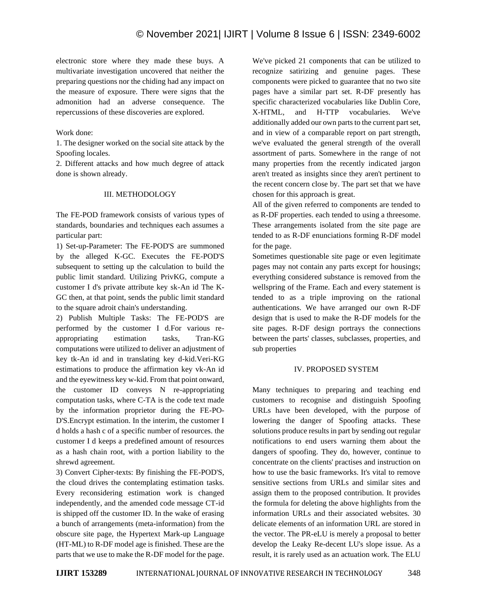electronic store where they made these buys. A multivariate investigation uncovered that neither the preparing questions nor the chiding had any impact on the measure of exposure. There were signs that the admonition had an adverse consequence. The repercussions of these discoveries are explored.

## Work done:

1. The designer worked on the social site attack by the Spoofing locales.

2. Different attacks and how much degree of attack done is shown already.

### III. METHODOLOGY

The FE-POD framework consists of various types of standards, boundaries and techniques each assumes a particular part:

1) Set-up-Parameter: The FE-POD'S are summoned by the alleged K-GC. Executes the FE-POD'S subsequent to setting up the calculation to build the public limit standard. Utilizing PrivKG, compute a customer I d's private attribute key sk-An id The K-GC then, at that point, sends the public limit standard to the square adroit chain's understanding.

2) Publish Multiple Tasks: The FE-POD'S are performed by the customer I d.For various reappropriating estimation tasks, Tran-KG computations were utilized to deliver an adjustment of key tk-An id and in translating key d-kid.Veri-KG estimations to produce the affirmation key vk-An id and the eyewitness key w-kid. From that point onward, the customer ID conveys N re-appropriating computation tasks, where C-TA is the code text made by the information proprietor during the FE-PO-D'S.Encrypt estimation. In the interim, the customer I d holds a hash c of a specific number of resources. the customer I d keeps a predefined amount of resources as a hash chain root, with a portion liability to the shrewd agreement.

3) Convert Cipher-texts: By finishing the FE-POD'S, the cloud drives the contemplating estimation tasks. Every reconsidering estimation work is changed independently, and the amended code message CT-id is shipped off the customer ID. In the wake of erasing a bunch of arrangements (meta-information) from the obscure site page, the Hypertext Mark-up Language (HT-ML) to R-DF model age is finished. These are the parts that we use to make the R-DF model for the page.

We've picked 21 components that can be utilized to recognize satirizing and genuine pages. These components were picked to guarantee that no two site pages have a similar part set. R-DF presently has specific characterized vocabularies like Dublin Core, X-HTML, and H-TTP vocabularies. We've additionally added our own parts to the current part set, and in view of a comparable report on part strength, we've evaluated the general strength of the overall assortment of parts. Somewhere in the range of not many properties from the recently indicated jargon aren't treated as insights since they aren't pertinent to the recent concern close by. The part set that we have chosen for this approach is great.

All of the given referred to components are tended to as R-DF properties. each tended to using a threesome. These arrangements isolated from the site page are tended to as R-DF enunciations forming R-DF model for the page.

Sometimes questionable site page or even legitimate pages may not contain any parts except for housings; everything considered substance is removed from the wellspring of the Frame. Each and every statement is tended to as a triple improving on the rational authentications. We have arranged our own R-DF design that is used to make the R-DF models for the site pages. R-DF design portrays the connections between the parts' classes, subclasses, properties, and sub properties

#### IV. PROPOSED SYSTEM

Many techniques to preparing and teaching end customers to recognise and distinguish Spoofing URLs have been developed, with the purpose of lowering the danger of Spoofing attacks. These solutions produce results in part by sending out regular notifications to end users warning them about the dangers of spoofing. They do, however, continue to concentrate on the clients' practises and instruction on how to use the basic frameworks. It's vital to remove sensitive sections from URLs and similar sites and assign them to the proposed contribution. It provides the formula for deleting the above highlights from the information URLs and their associated websites. 30 delicate elements of an information URL are stored in the vector. The PR-eLU is merely a proposal to better develop the Leaky Re-decent LU's slope issue. As a result, it is rarely used as an actuation work. The ELU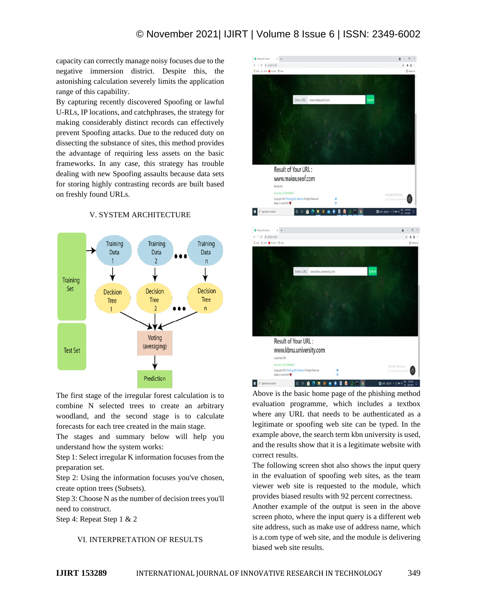capacity can correctly manage noisy focuses due to the negative immersion district. Despite this, the astonishing calculation severely limits the application range of this capability.

By capturing recently discovered Spoofing or lawful U-RLs, IP locations, and catchphrases, the strategy for making considerably distinct records can effectively prevent Spoofing attacks. Due to the reduced duty on dissecting the substance of sites, this method provides the advantage of requiring less assets on the basic frameworks. In any case, this strategy has trouble dealing with new Spoofing assaults because data sets for storing highly contrasting records are built based on freshly found URLs.



V. SYSTEM ARCHITECTURE

The first stage of the irregular forest calculation is to combine N selected trees to create an arbitrary woodland, and the second stage is to calculate forecasts for each tree created in the main stage.

The stages and summary below will help you understand how the system works:

Step 1: Select irregular K information focuses from the preparation set.

Step 2: Using the information focuses you've chosen, create option trees (Subsets).

Step 3: Choose N as the number of decision trees you'll need to construct.

Step 4: Repeat Step 1 & 2

## Ⅵ. INTERPRETATION OF RESULTS



Above is the basic home page of the phishing method evaluation programme, which includes a textbox where any URL that needs to be authenticated as a legitimate or spoofing web site can be typed. In the example above, the search term kbn university is used, and the results show that it is a legitimate website with correct results.

The following screen shot also shows the input query in the evaluation of spoofing web sites, as the team viewer web site is requested to the module, which provides biased results with 92 percent correctness.

Another example of the output is seen in the above screen photo, where the input query is a different web site address, such as make use of address name, which is a.com type of web site, and the module is delivering biased web site results.